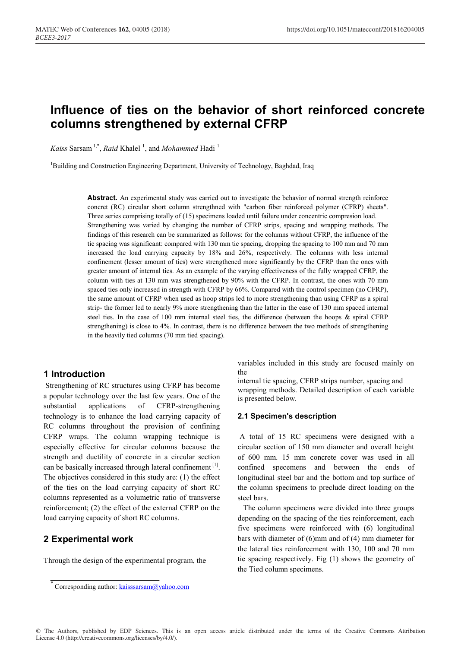# **Influence of ties on the behavior of short reinforced concrete columns strengthened by external CFRP**

Kaiss Sarsam<sup>1,\*</sup>, *Raid* Khalel<sup>1</sup>, and *Mohammed* Hadi<sup>1</sup>

<sup>1</sup>Building and Construction Engineering Department, University of Technology, Baghdad, Iraq

Abstract. An experimental study was carried out to investigate the behavior of normal strength reinforce concret (RC) circular short column strengthned with "carbon fiber reinforced polymer (CFRP) sheets". Three series comprising totally of (15) specimens loaded until failure under concentric compresion load. Strengthening was varied by changing the number of CFRP strips, spacing and wrapping methods. The findings of this research can be summarized as follows: for the columns without CFRP, the influence of the tie spacing was significant: compared with 130 mm tie spacing, dropping the spacing to 100 mm and 70 mm increased the load carrying capacity by 18% and 26%, respectively. The columns with less internal confinement (lesser amount of ties) were strengthened more significantly by the CFRP than the ones with greater amount of internal ties. As an example of the varying effectiveness of the fully wrapped CFRP, the column with ties at 130 mm was strengthened by 90% with the CFRP. In contrast, the ones with 70 mm spaced ties only increased in strength with CFRP by 66%. Compared with the control specimen (no CFRP), the same amount of CFRP when used as hoop strips led to more strengthening than using CFRP as a spiral strip- the former led to nearly 9% more strengthening than the latter in the case of 130 mm spaced internal steel ties. In the case of 100 mm internal steel ties, the difference (between the hoops & spiral CFRP strengthening) is close to 4%. In contrast, there is no difference between the two methods of strengthening in the heavily tied columns (70 mm tied spacing).

# **1 Introduction**

Strengthening of RC structures using CFRP has become a popular technology over the last few years. One of the substantial applications of CFRP-strengthening technology is to enhance the load carrying capacity of RC columns throughout the provision of confining CFRP wraps. The column wrapping technique is especially effective for circular columns because the strength and ductility of concrete in a circular section can be basically increased through lateral confinement [1]. The objectives considered in this study are: (1) the effect of the ties on the load carrying capacity of short RC columns represented as a volumetric ratio of transverse reinforcement; (2) the effect of the external CFRP on the load carrying capacity of short RC columns.

# **2 Experimental work**

Through the design of the experimental program, the

variables included in this study are focused mainly on the

internal tie spacing, CFRP strips number, spacing and wrapping methods. Detailed description of each variable is presented below.

#### **2.1 Specimen's description**

A total of 15 RC specimens were designed with a circular section of 150 mm diameter and overall height of 600 mm. 15 mm concrete cover was used in all confined specemens and between the ends of longitudinal steel bar and the bottom and top surface of the column specimens to preclude direct loading on the steel bars.

 The column specimens were divided into three groups depending on the spacing of the ties reinforcement, each five specimens were reinforced with (6) longitudinal bars with diameter of (6)mm and of (4) mm diameter for the lateral ties reinforcement with 130, 100 and 70 mm tie spacing respectively. Fig (1) shows the geometry of the Tied column specimens.

Corresponding author: kaisssarsam@yahoo.com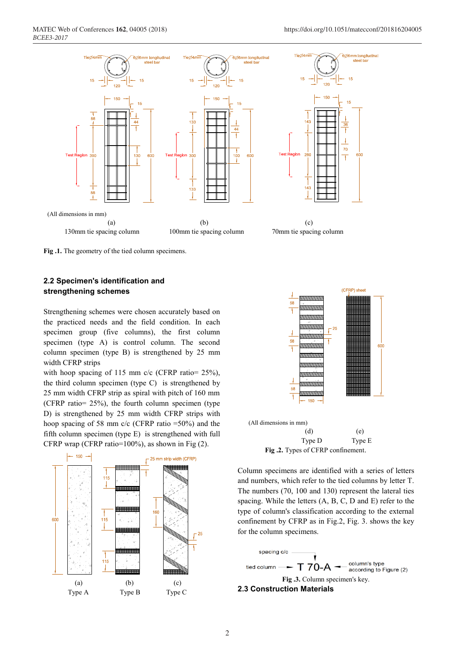



## **2.2 Specimen's identification and strengthening schemes**

Strengthening schemes were chosen accurately based on the practiced needs and the field condition. In each specimen group (five columns), the first column specimen (type A) is control column. The second column specimen (type B) is strengthened by 25 mm width CFRP strips

with hoop spacing of 115 mm c/c (CFRP ratio= 25%), the third column specimen (type C) is strengthened by 25 mm width CFRP strip as spiral with pitch of 160 mm (CFRP ratio= 25%), the fourth column specimen (type D) is strengthened by 25 mm width CFRP strips with hoop spacing of 58 mm c/c (CFRP ratio =50%) and the fifth column specimen (type E) is strengthened with full CFRP wrap (CFRP ratio=100%), as shown in Fig (2).





**Fig .2.** Types of CFRP confinement.

Column specimens are identified with a series of letters and numbers, which refer to the tied columns by letter T. The numbers (70, 100 and 130) represent the lateral ties spacing. While the letters (A, B, C, D and E) refer to the type of column's classification according to the external confinement by CFRP as in Fig.2, Fig. 3. shows the key for the column specimens.

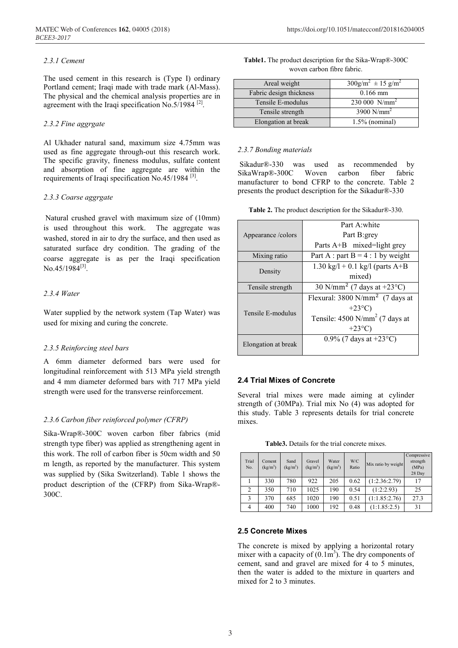#### *2.3.1 Cement*

The used cement in this research is (Type I) ordinary Portland cement; Iraqi made with trade mark (Al-Mass). The physical and the chemical analysis properties are in agreement with the Iraqi specification No.5/1984  $^{[2]}$ .

#### *2.3.2 Fine aggrgate*

Al Ukhader natural sand, maximum size 4.75mm was used as fine aggregate through-out this research work. The specific gravity, fineness modulus, sulfate content and absorption of fine aggregate are within the requirements of Iraqi specification No.45/1984  $^{[3]}$ .

#### *2.3.3 Coarse aggrgate*

Natural crushed gravel with maximum size of (10mm) is used throughout this work. The aggregate was washed, stored in air to dry the surface, and then used as saturated surface dry condition. The grading of the coarse aggregate is as per the Iraqi specification No.45/1984<sup>[3]</sup>.

## *2.3.4 Water*

Water supplied by the network system (Tap Water) was used for mixing and curing the concrete.

#### *2.3.5 Reinforcing steel bars*

A 6mm diameter deformed bars were used for longitudinal reinforcement with 513 MPa yield strength and 4 mm diameter deformed bars with 717 MPa yield strength were used for the transverse reinforcement.

## *2.3.6 Carbon fiber reinforced polymer (CFRP)*

Sika-Wrap®-300C woven carbon fiber fabrics (mid strength type fiber) was applied as strengthening agent in this work. The roll of carbon fiber is 50cm width and 50 m length, as reported by the manufacturer. This system was supplied by (Sika Switzerland). Table 1 shows the product description of the (CFRP) from Sika-Wrap®- 300C.

| <b>Table1.</b> The product description for the Sika-Wrap®-300C |
|----------------------------------------------------------------|
| woven carbon fibre fabric.                                     |

| Areal weight            | $300$ g/m <sup>2</sup> ± 15 g/m <sup>2</sup> |
|-------------------------|----------------------------------------------|
| Fabric design thickness | $0.166$ mm                                   |
| Tensile E-modulus       | $230\,000\,$ N/mm <sup>2</sup>               |
| Tensile strength        | 3900 $N/mm^2$                                |
| Elongation at break     | $1.5\%$ (nominal)                            |

#### *2.3.7 Bonding materials*

Sikadur®-330 was used as recommended by SikaWrap®-300C Woven carbon fiber fabric manufacturer to bond CFRP to the concrete. Table 2 presents the product description for the Sikadur®-330

|  |  |  |  | Table 2. The product description for the Sikadur®-330. |
|--|--|--|--|--------------------------------------------------------|
|--|--|--|--|--------------------------------------------------------|

|                     | Part A white                                      |  |  |  |  |
|---------------------|---------------------------------------------------|--|--|--|--|
| Appearance / colors | Part B:grey                                       |  |  |  |  |
|                     | Parts A+B mixed=light grey                        |  |  |  |  |
| Mixing ratio        | Part A : part B = $4:1$ by weight                 |  |  |  |  |
|                     | 1.30 kg/l + 0.1 kg/l (parts $A+B$                 |  |  |  |  |
| Density             | mixed)                                            |  |  |  |  |
| Tensile strength    | 30 N/mm <sup>2</sup> (7 days at +23 $^{\circ}$ C) |  |  |  |  |
|                     | Flexural: $3800 \text{ N/mm}^2$ (7 days at        |  |  |  |  |
|                     | $+23^{\circ}$ C)                                  |  |  |  |  |
| Tensile E-modulus   | Tensile: $4500$ N/mm <sup>2</sup> (7 days at      |  |  |  |  |
|                     | $+23^{\circ}$ C)                                  |  |  |  |  |
| Elongation at break | 0.9% (7 days at $+23^{\circ}$ C)                  |  |  |  |  |
|                     |                                                   |  |  |  |  |

## **2.4 Trial Mixes of Concrete**

Several trial mixes were made aiming at cylinder strength of (30MPa). Trial mix No (4) was adopted for this study. Table 3 represents details for trial concrete mixes.

| <b>Table3.</b> Details for the trial concrete mixes. |
|------------------------------------------------------|
|------------------------------------------------------|

| Trial<br>No. | Cement<br>$(kg/m^3)$ | Sand<br>$(kg/m^3)$ | Gravel<br>$(kg/m^3)$ | Water<br>$(kg/m^3)$ | W/C<br>Ratio | Mix ratio by weight | Compressive<br>strength<br>(MPa)<br>28 Day |
|--------------|----------------------|--------------------|----------------------|---------------------|--------------|---------------------|--------------------------------------------|
|              | 330                  | 780                | 922                  | 205                 | 0.62         | (1:2.36:2.79)       | 17                                         |
| 2            | 350                  | 710                | 1025                 | 190                 | 0.54         | (1:2:2.93)          | 25                                         |
| 3            | 370                  | 685                | 1020                 | 190                 | 0.51         | (1:1.85:2.76)       | 27.3                                       |
| 4            | 400                  | 740                | 1000                 | 192                 | 0.48         | (1:1.85:2.5)        | 31                                         |

#### **2.5 Concrete Mixes**

The concrete is mixed by applying a horizontal rotary mixer with a capacity of  $(0.1\text{m}^3)$ . The dry components of cement, sand and gravel are mixed for 4 to 5 minutes, then the water is added to the mixture in quarters and mixed for 2 to 3 minutes.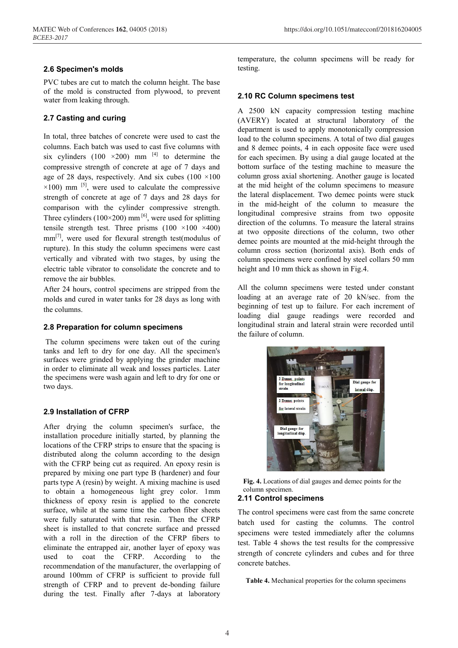## **2.6 Specimen's molds**

PVC tubes are cut to match the column height. The base of the mold is constructed from plywood, to prevent water from leaking through.

## **2.7 Casting and curing**

In total, three batches of concrete were used to cast the columns. Each batch was used to cast five columns with six cylinders (100  $\times$ 200) mm<sup>[4]</sup> to determine the compressive strength of concrete at age of 7 days and age of 28 days, respectively. And six cubes  $(100 \times 100)$  $\times$ 100) mm <sup>[5]</sup>, were used to calculate the compressive strength of concrete at age of 7 days and 28 days for comparison with the cylinder compressive strength. Three cylinders ( $100 \times 200$ ) mm<sup>[6]</sup>, were used for splitting tensile strength test. Three prisms  $(100 \times 100 \times 400)$ mm<sup>[7]</sup>, were used for flexural strength test(modulus of rupture). In this study the column specimens were cast vertically and vibrated with two stages, by using the electric table vibrator to consolidate the concrete and to remove the air bubbles.

After 24 hours, control specimens are stripped from the molds and cured in water tanks for 28 days as long with the columns.

## **2.8 Preparation for column specimens**

The column specimens were taken out of the curing tanks and left to dry for one day. All the specimen's surfaces were grinded by applying the grinder machine in order to eliminate all weak and losses particles. Later the specimens were wash again and left to dry for one or two days.

## **2.9 Installation of CFRP**

After drying the column specimen's surface, the installation procedure initially started, by planning the locations of the CFRP strips to ensure that the spacing is distributed along the column according to the design with the CFRP being cut as required. An epoxy resin is prepared by mixing one part type B (hardener) and four parts type A (resin) by weight. A mixing machine is used to obtain a homogeneous light grey color. 1mm thickness of epoxy resin is applied to the concrete surface, while at the same time the carbon fiber sheets were fully saturated with that resin. Then the CFRP sheet is installed to that concrete surface and pressed with a roll in the direction of the CFRP fibers to eliminate the entrapped air, another layer of epoxy was used to coat the CFRP. According to the recommendation of the manufacturer, the overlapping of around 100mm of CFRP is sufficient to provide full strength of CFRP and to prevent de-bonding failure during the test. Finally after 7-days at laboratory

temperature, the column specimens will be ready for testing.

## **2.10 RC Column specimens test**

A 2500 kN capacity compression testing machine (AVERY) located at structural laboratory of the department is used to apply monotonically compression load to the column specimens. A total of two dial gauges and 8 demec points, 4 in each opposite face were used for each specimen. By using a dial gauge located at the bottom surface of the testing machine to measure the column gross axial shortening. Another gauge is located at the mid height of the column specimens to measure the lateral displacement. Two demec points were stuck in the mid-height of the column to measure the longitudinal compresive strains from two opposite direction of the columns. To measure the lateral strains at two opposite directions of the column, two other demec points are mounted at the mid-height through the column cross section (horizontal axis). Both ends of column specimens were confined by steel collars 50 mm height and 10 mm thick as shown in Fig.4.

All the column specimens were tested under constant loading at an average rate of 20 kN/sec. from the beginning of test up to failure. For each increment of loading dial gauge readings were recorded and longitudinal strain and lateral strain were recorded until the failure of column.



**Fig. 4.** Locations of dial gauges and demec points for the column specimen.

## **2.11 Control specimens**

The control specimens were cast from the same concrete batch used for casting the columns. The control specimens were tested immediately after the columns test. Table 4 shows the test results for the compressive strength of concrete cylinders and cubes and for three concrete batches.

**Table 4.** Mechanical properties for the column specimens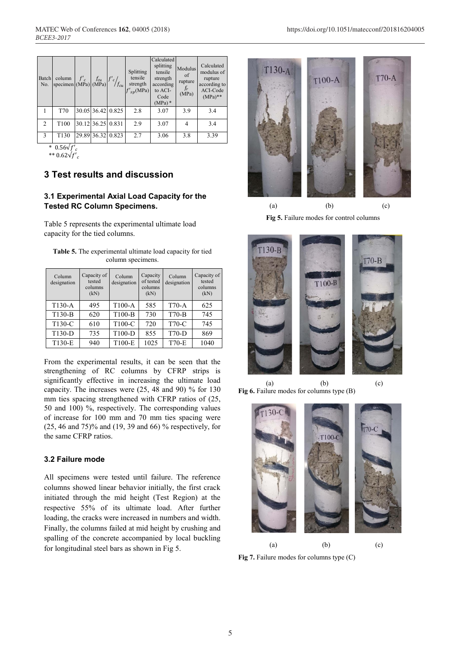| Batch<br>No.   | column $f'_{c}$ $f_{cu}$ $f'_{cu}$ $f'_{c}/f_{cu}$ |                   |                   | Splitting<br>tensile<br>strength<br>$f'_{sp}(\text{MPa})$ | Calculated<br>splitting<br>tensile<br>strength<br>according<br>to ACI-<br>Code<br>$(MPa)*$ | Modulus<br>of<br>rupture<br>$f_r$<br>(MPa) | Calculated<br>modulus of<br>rupture<br>according to<br>ACI-Code<br>$(MPa)$ ** |
|----------------|----------------------------------------------------|-------------------|-------------------|-----------------------------------------------------------|--------------------------------------------------------------------------------------------|--------------------------------------------|-------------------------------------------------------------------------------|
|                | T70                                                |                   | 30.05 36.42 0.825 | 2.8                                                       | 3.07                                                                                       | 3.9                                        | 3.4                                                                           |
| $\overline{2}$ | T <sub>100</sub>                                   | 30.12 36.25 0.831 |                   | 2.9                                                       | 3.07                                                                                       | 4                                          | 3.4                                                                           |
| $\mathbf{3}$   | T <sub>130</sub>                                   | 29.89 36.32 0.823 |                   | 2.7                                                       | 3.06                                                                                       | 3.8                                        | 3.39                                                                          |
|                | $*$ $0.5$ $\mu$                                    |                   |                   |                                                           |                                                                                            |                                            |                                                                               |

\*  $0.56\sqrt{f'}_c$ 

\*\*  $0.62\sqrt{f'}_c$ 

# **3 Test results and discussion**

# **3.1 Experimental Axial Load Capacity for the Tested RC Column Specimens.**

Table 5 represents the experimental ultimate load capacity for the tied columns.

| <b>Table 5.</b> The experimental ultimate load capacity for tied |                   |  |
|------------------------------------------------------------------|-------------------|--|
|                                                                  | column specimens. |  |

| Column<br>designation | Capacity of<br>tested<br>columns<br>(kN) | Column<br>designation | Capacity<br>of tested<br>columns<br>(kN) | Column<br>designation | Capacity of<br>tested<br>columns<br>(kN) |
|-----------------------|------------------------------------------|-----------------------|------------------------------------------|-----------------------|------------------------------------------|
| $T130-A$              | 495                                      | $T100-A$              | 585                                      | $T70-A$               | 625                                      |
| T130-B                | 620                                      | $T100-B$              | 730                                      | $T70-B$               | 745                                      |
| T130-C                | 610                                      | T100-C                | 720                                      | T70-C                 | 745                                      |
| T130-D                | 735                                      | T100-D                | 855                                      | $T70-D$               | 869                                      |
| T130-E                | 940                                      | T100-E                | 1025                                     | <b>T70-E</b>          | 1040                                     |

From the experimental results, it can be seen that the strengthening of RC columns by CFRP strips is significantly effective in increasing the ultimate load capacity. The increases were (25, 48 and 90) % for 130 mm ties spacing strengthened with CFRP ratios of (25, 50 and 100) %, respectively. The corresponding values of increase for 100 mm and 70 mm ties spacing were (25, 46 and 75)% and (19, 39 and 66) % respectively, for the same CFRP ratios.

## **3.2 Failure mode**

All specimens were tested until failure. The reference columns showed linear behavior initially, the first crack initiated through the mid height (Test Region) at the respective 55% of its ultimate load. After further loading, the cracks were increased in numbers and width. Finally, the columns failed at mid height by crushing and spalling of the concrete accompanied by local buckling for longitudinal steel bars as shown in Fig 5.



(a) (b) (c) **Fig 5.** Failure modes for control columns



**Fig 6.** Failure modes for columns type (B)



**Fig 7.** Failure modes for columns type (C)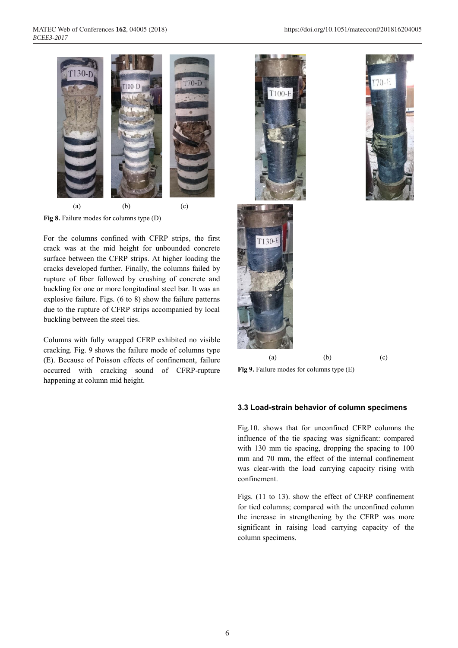

**Fig 8.** Failure modes for columns type (D)

For the columns confined with CFRP strips, the first crack was at the mid height for unbounded concrete surface between the CFRP strips. At higher loading the cracks developed further. Finally, the columns failed by rupture of fiber followed by crushing of concrete and buckling for one or more longitudinal steel bar. It was an explosive failure. Figs. (6 to 8) show the failure patterns due to the rupture of CFRP strips accompanied by local buckling between the steel ties.

Columns with fully wrapped CFRP exhibited no visible cracking. Fig. 9 shows the failure mode of columns type (E). Because of Poisson effects of confinement, failure occurred with cracking sound of CFRP-rupture happening at column mid height.







(a) (b) (c)

**Fig 9.** Failure modes for columns type (E)

#### **3.3 Load-strain behavior of column specimens**

Fig.10. shows that for unconfined CFRP columns the influence of the tie spacing was significant: compared with 130 mm tie spacing, dropping the spacing to 100 mm and 70 mm, the effect of the internal confinement was clear-with the load carrying capacity rising with confinement.

Figs. (11 to 13). show the effect of CFRP confinement for tied columns; compared with the unconfined column the increase in strengthening by the CFRP was more significant in raising load carrying capacity of the column specimens.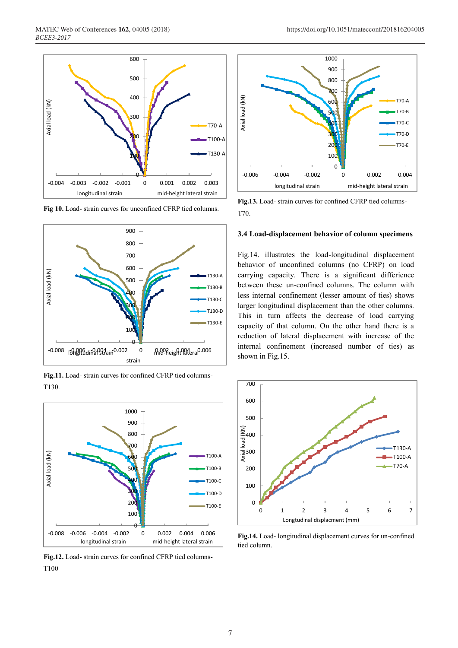

**Fig 10.** Load- strain curves for unconfined CFRP tied columns.



**Fig.11.** Load- strain curves for confined CFRP tied columns-T130.



**Fig.12.** Load- strain curves for confined CFRP tied columns-T100



**Fig.13.** Load- strain curves for confined CFRP tied columns-T70.

#### **3.4 Load-displacement behavior of column specimens**

Fig.14. illustrates the load-longitudinal displacement behavior of unconfined columns (no CFRP) on load carrying capacity. There is a significant differience between these un-confined columns. The column with less internal confinement (lesser amount of ties) shows larger longitudinal displacement than the other columns. This in turn affects the decrease of load carrying capacity of that column. On the other hand there is a reduction of lateral displacement with increase of the internal confinement (increased number of ties) as shown in Fig.15.



**Fig.14.** Load- longitudinal displacement curves for un-confined tied column.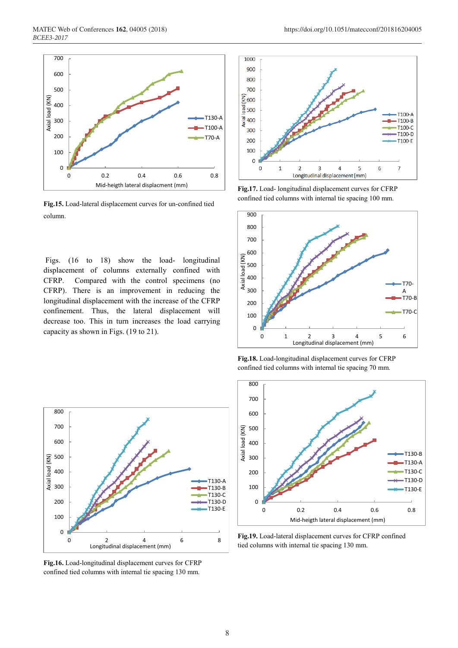

**Fig.15.** Load-lateral displacement curves for un-confined tied column.

Figs. (16 to 18) show the load- longitudinal displacement of columns externally confined with CFRP. Compared with the control specimens (no CFRP). There is an improvement in reducing the longitudinal displacement with the increase of the CFRP confinement. Thus, the lateral displacement will decrease too. This in turn increases the load carrying capacity as shown in Figs. (19 to 21).



**Fig.17.** Load- longitudinal displacement curves for CFRP confined tied columns with internal tie spacing 100 mm.



**Fig.18.** Load-longitudinal displacement curves for CFRP confined tied columns with internal tie spacing 70 mm.



**Fig.16.** Load-longitudinal displacement curves for CFRP confined tied columns with internal tie spacing 130 mm.



**Fig.19.** Load-lateral displacement curves for CFRP confined tied columns with internal tie spacing 130 mm.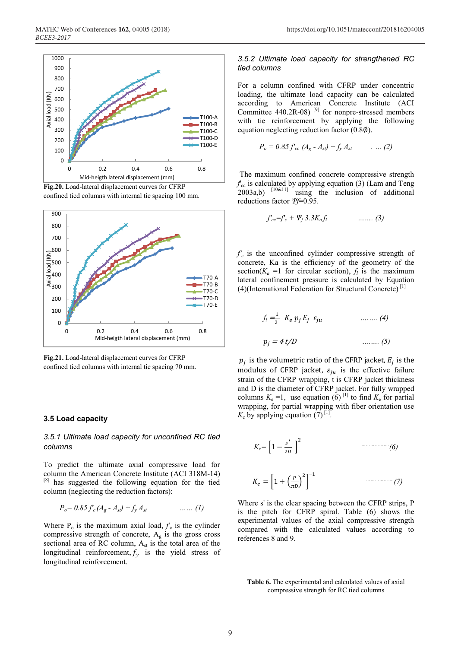





**Fig.21.** Load-lateral displacement curves for CFRP confined tied columns with internal tie spacing 70 mm.

#### **3.5 Load capacity**

#### *3.5.1 Ultimate load capacity for unconfined RC tied columns*

To predict the ultimate axial compressive load for column the American Concrete Institute (ACI 318M-14) [8] has suggested the following equation for the tied column (neglecting the reduction factors):

$$
P_o = 0.85 f_c (A_g - A_{st}) + f_y A_{st} \qquad \qquad \dots \dots (1)
$$

Where  $P_0$  is the maximum axial load,  $f_c$  is the cylinder compressive strength of concrete,  $A_{g}$  is the gross cross sectional area of RC column,  $A_{st}$  is the total area of the longitudinal reinforcement,  $f_v$  is the yield stress of longitudinal reinforcement.

#### *3.5.2 Ultimate load capacity for strengthened RC tied columns*

For a column confined with CFRP under concentric loading, the ultimate load capacity can be calculated according to American Concrete Institute (ACI Committee  $440.2R-08$ )<sup>[9]</sup> for nonpre-stressed members with tie reinforcement by applying the following equation neglecting reduction factor (0.8∅).

$$
P_o = 0.85 f_{cc} (A_g - A_{sl}) + f_y A_{st} \qquad \dots (2)
$$

The maximum confined concrete compressive strength  $f_{\rm cc}$  is calculated by applying equation (3) (Lam and Teng  $2003a,b$   $[10&1]$  using the inclusion of additional reductions factor *Ψf*=0.95.

$$
f_{cc}=f'_c+\varPsi_f 3.3K_a f_l \qquad \qquad \ldots \ldots \qquad (3)
$$

 $f_c$  is the unconfined cylinder compressive strength of concrete, Ka is the efficiency of the geometry of the section( $K_a$  =1 for circular section),  $f_l$  is the maximum lateral confinement pressure is calculated by Equation (4)(International Federation for Structural Concrete)<sup>[1]</sup>

$$
f_l = \frac{1}{2} K_e p_j E_j \varepsilon_{ju}
$$
 ......(4)  

$$
p_j = 4 t/D
$$
 ...... (5)

 $p_i$  is the volumetric ratio of the CFRP jacket,  $E_i$  is the modulus of CFRP jacket,  $\varepsilon_{ju}$  is the effective failure strain of the CFRP wrapping, t is CFRP jacket thickness and D is the diameter of CFRP jacket. For fully wrapped columns  $K_e = 1$ , use equation (6) <sup>[1]</sup> to find  $K_e$  for partial wrapping, for partial wrapping with fiber orientation use  $K_e$  by applying equation (7)<sup>[1]</sup>.

$$
K_e = \left[1 - \frac{s'}{2D}\right]^2
$$
\n
$$
K_e = \left[1 + \left(\frac{P}{\pi D}\right)^2\right]^{-1}
$$
\n
$$
\dots
$$
\n
$$
\dots
$$
\n
$$
\dots
$$
\n
$$
\dots
$$
\n
$$
\dots
$$
\n
$$
\dots
$$
\n
$$
\dots
$$
\n
$$
\dots
$$
\n
$$
\dots
$$
\n
$$
\dots
$$
\n
$$
\dots
$$
\n
$$
\dots
$$
\n
$$
\dots
$$
\n
$$
\dots
$$
\n
$$
\dots
$$
\n
$$
\dots
$$
\n
$$
\dots
$$
\n
$$
\dots
$$
\n
$$
\dots
$$
\n
$$
\dots
$$
\n
$$
\dots
$$
\n
$$
\dots
$$
\n
$$
\dots
$$
\n
$$
\dots
$$
\n
$$
\dots
$$
\n
$$
\dots
$$
\n
$$
\dots
$$
\n
$$
\dots
$$
\n
$$
\dots
$$
\n
$$
\dots
$$
\n
$$
\dots
$$
\n
$$
\dots
$$
\n
$$
\dots
$$
\n
$$
\dots
$$
\n
$$
\dots
$$
\n
$$
\dots
$$
\n
$$
\dots
$$
\n
$$
\dots
$$
\n
$$
\dots
$$
\n
$$
\dots
$$
\n
$$
\dots
$$
\n
$$
\dots
$$
\n
$$
\dots
$$
\n
$$
\dots
$$
\n
$$
\dots
$$
\n
$$
\dots
$$
\n
$$
\dots
$$
\n
$$
\dots
$$
\n
$$
\dots
$$
\n
$$
\dots
$$
\n
$$
\dots
$$
\n
$$
\dots
$$
\n
$$
\dots
$$
\n
$$
\dots
$$
\n
$$
\dots
$$
\n
$$
\dots
$$
\n
$$
\dots
$$
\n
$$
\dots
$$
\n
$$
\dots
$$
\n
$$
\dots
$$
\n
$$
\dots
$$
\n
$$
\dots
$$
\n
$$
\dots
$$
\n
$$
\
$$

Where s' is the clear spacing between the CFRP strips, P is the pitch for CFRP spiral. Table (6) shows the experimental values of the axial compressive strength compared with the calculated values according to references 8 and 9.

**Table 6.** The experimental and calculated values of axial compressive strength for RC tied columns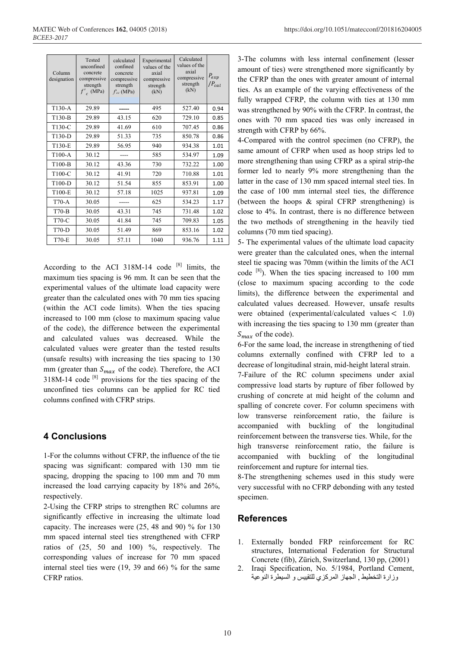| Column<br>designation | Tested<br>unconfined<br>concrete<br>compressive<br>strength<br>$f'$ <sub>c</sub> (MPa) | calculated<br>confined<br>concrete<br>compressive<br>strength<br>$f_{cc}$ (MPa) | Experimental<br>values of the<br>axial<br>compressive<br>strength<br>(kN) | Calculated<br>values of the<br>axial<br>compressive<br>strength<br>(kN) | $P_{exp}$<br>$\big P_{cal}\big $ |
|-----------------------|----------------------------------------------------------------------------------------|---------------------------------------------------------------------------------|---------------------------------------------------------------------------|-------------------------------------------------------------------------|----------------------------------|
| $T130-A$              | 29.89                                                                                  |                                                                                 | 495                                                                       | 527.40                                                                  | 0.94                             |
| T130-B                | 29.89                                                                                  | 43.15                                                                           | 620                                                                       | 729.10                                                                  | 0.85                             |
| T130-C                | 29.89                                                                                  | 41.69                                                                           | 610                                                                       | 707.45                                                                  | 0.86                             |
| T130-D                | 29.89                                                                                  | 51.33                                                                           | 735                                                                       | 850.78                                                                  | 0.86                             |
| T130-E                | 29.89                                                                                  | 56.95                                                                           | 940                                                                       | 934.38                                                                  | 1.01                             |
| $T100-A$              | 30.12                                                                                  |                                                                                 | 585                                                                       | 534.97                                                                  | 1.09                             |
| $T100-B$              | 30.12                                                                                  | 43.36                                                                           | 730                                                                       | 732.22                                                                  | 1.00                             |
| T100-C                | 30.12                                                                                  | 41.91                                                                           | 720                                                                       | 710.88                                                                  | 1.01                             |
| T100-D                | 30.12                                                                                  | 51.54                                                                           | 855                                                                       | 853.91                                                                  | 1.00                             |
| T100-E                | 30.12                                                                                  | 57.18                                                                           | 1025                                                                      | 937.81                                                                  | 1.09                             |
| $T70-A$               | 30.05                                                                                  |                                                                                 | 625                                                                       | 534.23                                                                  | 1.17                             |
| $T70-B$               | 30.05                                                                                  | 43.31                                                                           | 745                                                                       | 731.48                                                                  | 1.02                             |
| T70-C                 | 30.05                                                                                  | 41.84                                                                           | 745                                                                       | 709.83                                                                  | 1.05                             |
| $T70-D$               | 30.05                                                                                  | 51.49                                                                           | 869                                                                       | 853.16                                                                  | 1.02                             |
| <b>T70-E</b>          | 30.05                                                                                  | 57.11                                                                           | 1040                                                                      | 936.76                                                                  | 1.11                             |

According to the ACI 318M-14 code  $[8]$  limits, the maximum ties spacing is 96 mm. It can be seen that the experimental values of the ultimate load capacity were greater than the calculated ones with 70 mm ties spacing (within the ACI code limits). When the ties spacing increased to 100 mm (close to maximum spacing value of the code), the difference between the experimental and calculated values was decreased. While the calculated values were greater than the tested results (unsafe results) with increasing the ties spacing to 130 mm (greater than  $S_{max}$  of the code). Therefore, the ACI  $318M-14$  code  $[8]$  provisions for the ties spacing of the unconfined ties columns can be applied for RC tied columns confined with CFRP strips.

# **4 Conclusions**

1-For the columns without CFRP, the influence of the tie spacing was significant: compared with 130 mm tie spacing, dropping the spacing to 100 mm and 70 mm increased the load carrying capacity by 18% and 26%, respectively.

2-Using the CFRP strips to strengthen RC columns are significantly effective in increasing the ultimate load capacity. The increases were (25, 48 and 90) % for 130 mm spaced internal steel ties strengthened with CFRP ratios of (25, 50 and 100) %, respectively. The corresponding values of increase for 70 mm spaced internal steel ties were (19, 39 and 66) % for the same CFRP ratios.

3-The columns with less internal confinement (lesser amount of ties) were strengthened more significantly by the CFRP than the ones with greater amount of internal ties. As an example of the varying effectiveness of the fully wrapped CFRP, the column with ties at 130 mm was strengthened by 90% with the CFRP. In contrast, the ones with 70 mm spaced ties was only increased in strength with CFRP by 66%.

4-Compared with the control specimen (no CFRP), the same amount of CFRP when used as hoop strips led to more strengthening than using CFRP as a spiral strip-the former led to nearly 9% more strengthening than the latter in the case of 130 mm spaced internal steel ties. In the case of 100 mm internal steel ties, the difference (between the hoops & spiral CFRP strengthening) is close to 4%. In contrast, there is no difference between the two methods of strengthening in the heavily tied columns (70 mm tied spacing).

5- The experimental values of the ultimate load capacity were greater than the calculated ones, when the internal steel tie spacing was 70mm (within the limits of the ACI code [8] ). When the ties spacing increased to 100 mm (close to maximum spacing according to the code limits), the difference between the experimental and calculated values decreased. However, unsafe results were obtained (experimental/calculated values  $<$  1.0) with increasing the ties spacing to 130 mm (greater than  $S_{max}$  of the code).

6-For the same load, the increase in strengthening of tied columns externally confined with CFRP led to a decrease of longitudinal strain, mid-height lateral strain.

7-Failure of the RC column specimens under axial compressive load starts by rupture of fiber followed by crushing of concrete at mid height of the column and spalling of concrete cover. For column specimens with low transverse reinforcement ratio, the failure is accompanied with buckling of the longitudinal reinforcement between the transverse ties. While, for the high transverse reinforcement ratio, the failure is accompanied with buckling of the longitudinal reinforcement and rupture for internal ties.

8-The strengthening schemes used in this study were very successful with no CFRP debonding with any tested specimen.

# **References**

- 1. Externally bonded FRP reinforcement for RC structures, International Federation for Structural Concrete (fib), Zürich, Switzerland, 130 pp, (2001)
- 2. Iraqi Specification, No. 5/1984, Portland Cement, وزارة التخطيط , الجهاز المركسي للتقييس و السيطرة النىعية